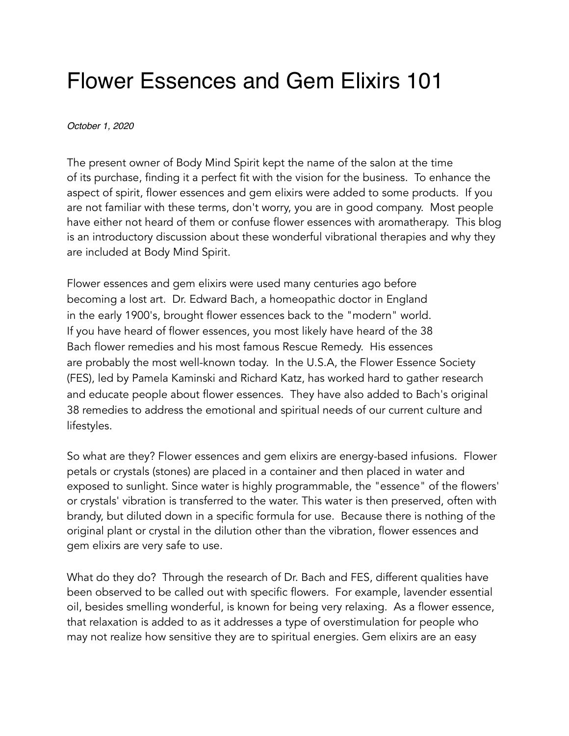## Flower Essences and Gem Elixirs 101

## *October 1, 2020*

The present owner of Body Mind Spirit kept the name of the salon at the time of its purchase, finding it a perfect fit with the vision for the business. To enhance the aspect of spirit, flower essences and gem elixirs were added to some products. If you are not familiar with these terms, don't worry, you are in good company. Most people have either not heard of them or confuse flower essences with aromatherapy. This blog is an introductory discussion about these wonderful vibrational therapies and why they are included at Body Mind Spirit.

Flower essences and gem elixirs were used many centuries ago before becoming a lost art. Dr. Edward Bach, a homeopathic doctor in England in the early 1900's, brought flower essences back to the "modern" world. If you have heard of flower essences, you most likely have heard of the 38 Bach flower remedies and his most famous Rescue Remedy. His essences are probably the most well-known today. In the U.S.A, the Flower Essence Society (FES), led by Pamela Kaminski and Richard Katz, has worked hard to gather research and educate people about flower essences. They have also added to Bach's original 38 remedies to address the emotional and spiritual needs of our current culture and lifestyles.

So what are they? Flower essences and gem elixirs are energy-based infusions. Flower petals or crystals (stones) are placed in a container and then placed in water and exposed to sunlight. Since water is highly programmable, the "essence" of the flowers' or crystals' vibration is transferred to the water. This water is then preserved, often with brandy, but diluted down in a specific formula for use. Because there is nothing of the original plant or crystal in the dilution other than the vibration, flower essences and gem elixirs are very safe to use.

What do they do? Through the research of Dr. Bach and FES, different qualities have been observed to be called out with specific flowers. For example, lavender essential oil, besides smelling wonderful, is known for being very relaxing. As a flower essence, that relaxation is added to as it addresses a type of overstimulation for people who may not realize how sensitive they are to spiritual energies. Gem elixirs are an easy